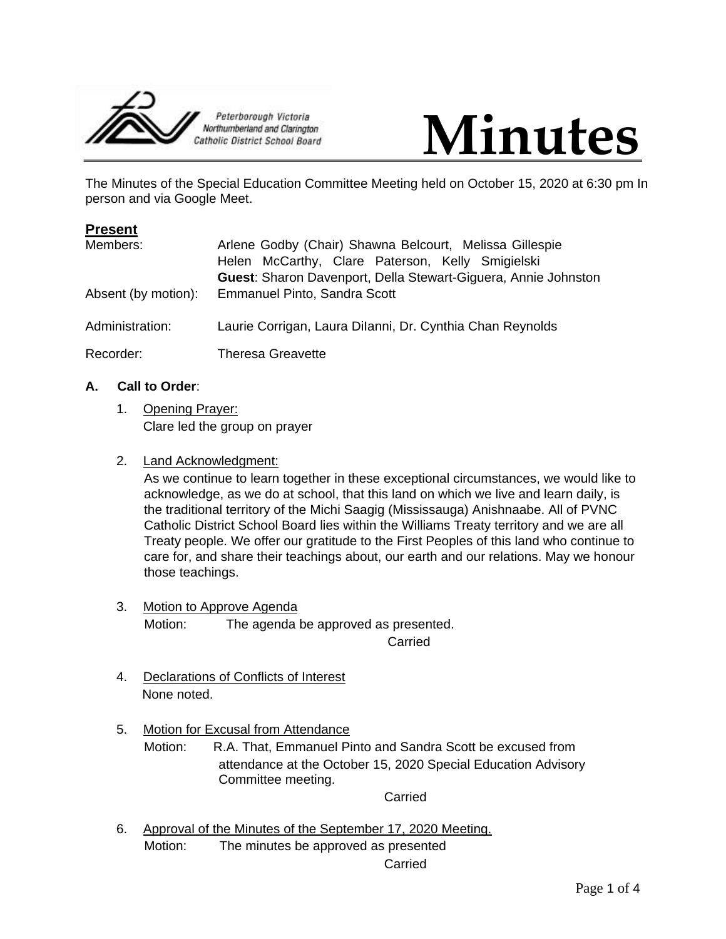



The Minutes of the Special Education Committee Meeting held on October 15, 2020 at 6:30 pm In person and via Google Meet.

| <b>Present</b>      |                                                                |
|---------------------|----------------------------------------------------------------|
| Members:            | Arlene Godby (Chair) Shawna Belcourt, Melissa Gillespie        |
|                     | Helen McCarthy, Clare Paterson, Kelly Smigielski               |
|                     | Guest: Sharon Davenport, Della Stewart-Giguera, Annie Johnston |
| Absent (by motion): | <b>Emmanuel Pinto, Sandra Scott</b>                            |
| Administration:     | Laurie Corrigan, Laura Dilanni, Dr. Cynthia Chan Reynolds      |
| Recorder:           | <b>Theresa Greavette</b>                                       |

# **A. Call to Order**:

- 1. Opening Prayer: Clare led the group on prayer
- 2. Land Acknowledgment:

As we continue to learn together in these exceptional circumstances, we would like to acknowledge, as we do at school, that this land on which we live and learn daily, is the traditional territory of the Michi Saagig (Mississauga) Anishnaabe. All of PVNC Catholic District School Board lies within the Williams Treaty territory and we are all Treaty people. We offer our gratitude to the First Peoples of this land who continue to care for, and share their teachings about, our earth and our relations. May we honour those teachings.

3. Motion to Approve Agenda Motion: The agenda be approved as presented.

Carried

- 4. Declarations of Conflicts of Interest None noted.
- 5. Motion for Excusal from Attendance

Motion: R.A. That, Emmanuel Pinto and Sandra Scott be excused from attendance at the October 15, 2020 Special Education Advisory Committee meeting.

Carried

6. Approval of the Minutes of the September 17, 2020 Meeting. Motion: The minutes be approved as presented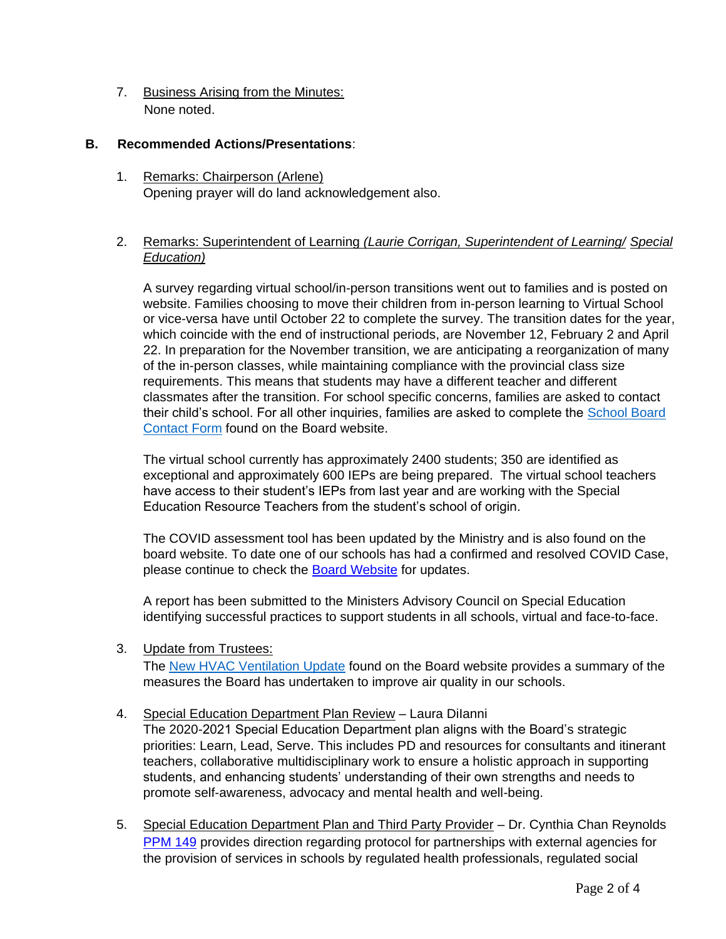7. Business Arising from the Minutes: None noted.

# **B. Recommended Actions/Presentations**:

1. Remarks: Chairperson (Arlene) Opening prayer will do land acknowledgement also.

# 2. Remarks: Superintendent of Learning *(Laurie Corrigan, Superintendent of Learning/ Special Education)*

A survey regarding virtual school/in-person transitions went out to families and is posted on website. Families choosing to move their children from in-person learning to Virtual School or vice-versa have until October 22 to complete the survey. The transition dates for the year, which coincide with the end of instructional periods, are November 12, February 2 and April 22. In preparation for the November transition, we are anticipating a reorganization of many of the in-person classes, while maintaining compliance with the provincial class size requirements. This means that students may have a different teacher and different classmates after the transition. For school specific concerns, families are asked to contact their child's school. For all other inquiries, families are asked to complete the [School Board](https://www.pvnccdsb.on.ca/contact/)  [Contact Form](https://www.pvnccdsb.on.ca/contact/) found on the Board website.

The virtual school currently has approximately 2400 students; 350 are identified as exceptional and approximately 600 IEPs are being prepared. The virtual school teachers have access to their student's IEPs from last year and are working with the Special Education Resource Teachers from the student's school of origin.

The COVID assessment tool has been updated by the Ministry and is also found on the board website. To date one of our schools has had a confirmed and resolved COVID Case, please continue to check the [Board Website](https://www.pvnccdsb.on.ca/) for updates.

A report has been submitted to the Ministers Advisory Council on Special Education identifying successful practices to support students in all schools, virtual and face-to-face.

3. Update from Trustees:

The [New HVAC Ventilation Update](https://www.pvnccdsb.on.ca/wp-content/uploads/2020/09/HVAC-Ventillation-Update-1.pdf) found on the Board website provides a summary of the measures the Board has undertaken to improve air quality in our schools.

## 4. Special Education Department Plan Review - Laura Dilanni

The 2020-2021 Special Education Department plan aligns with the Board's strategic priorities: Learn, Lead, Serve. This includes PD and resources for consultants and itinerant teachers, collaborative multidisciplinary work to ensure a holistic approach in supporting students, and enhancing students' understanding of their own strengths and needs to promote self-awareness, advocacy and mental health and well-being.

5. Special Education Department Plan and Third Party Provider - Dr. Cynthia Chan Reynolds [PPM 149](http://www.edu.gov.on.ca/extra/eng/ppm/ppm149.pdf) provides direction regarding protocol for partnerships with external agencies for the provision of services in schools by regulated health professionals, regulated social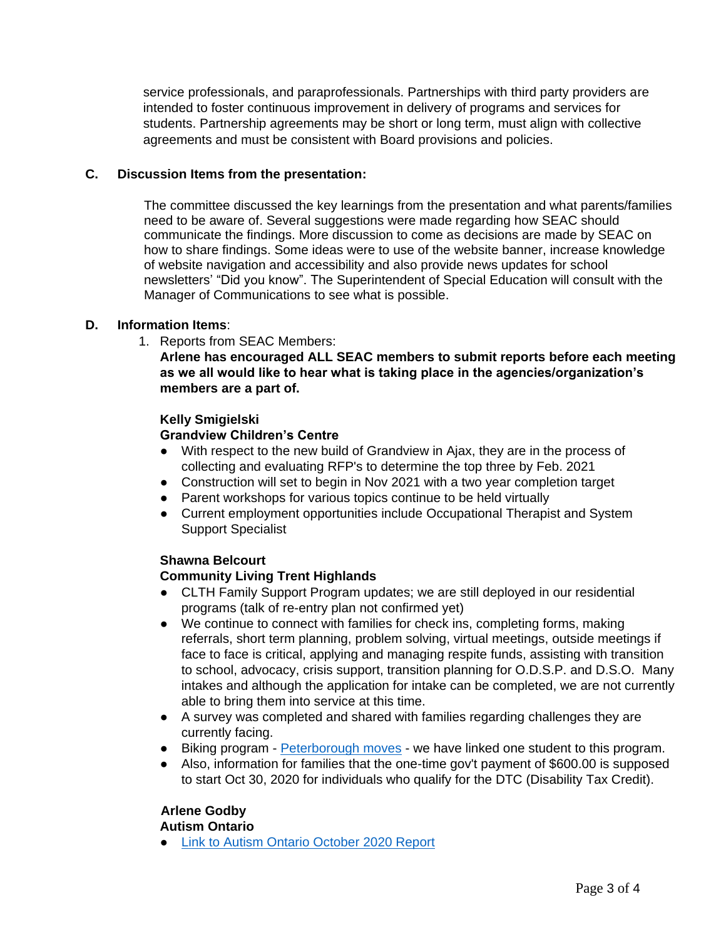service professionals, and paraprofessionals. Partnerships with third party providers are intended to foster continuous improvement in delivery of programs and services for students. Partnership agreements may be short or long term, must align with collective agreements and must be consistent with Board provisions and policies.

## **C. Discussion Items from the presentation:**

The committee discussed the key learnings from the presentation and what parents/families need to be aware of. Several suggestions were made regarding how SEAC should communicate the findings. More discussion to come as decisions are made by SEAC on how to share findings. Some ideas were to use of the website banner, increase knowledge of website navigation and accessibility and also provide news updates for school newsletters' "Did you know". The Superintendent of Special Education will consult with the Manager of Communications to see what is possible.

#### **D. Information Items**:

1. Reports from SEAC Members:

**Arlene has encouraged ALL SEAC members to submit reports before each meeting as we all would like to hear what is taking place in the agencies/organization's members are a part of.**

#### **Kelly Smigielski**

## **Grandview Children's Centre**

- With respect to the new build of Grandview in Ajax, they are in the process of collecting and evaluating RFP's to determine the top three by Feb. 2021
- Construction will set to begin in Nov 2021 with a two year completion target
- Parent workshops for various topics continue to be held virtually
- Current employment opportunities include Occupational Therapist and System Support Specialist

## **Shawna Belcourt**

## **Community Living Trent Highlands**

- CLTH Family Support Program updates; we are still deployed in our residential programs (talk of re-entry plan not confirmed yet)
- We continue to connect with families for check ins, completing forms, making referrals, short term planning, problem solving, virtual meetings, outside meetings if face to face is critical, applying and managing respite funds, assisting with transition to school, advocacy, crisis support, transition planning for O.D.S.P. and D.S.O. Many intakes and although the application for intake can be completed, we are not currently able to bring them into service at this time.
- A survey was completed and shared with families regarding challenges they are currently facing.
- Biking program **[Peterborough moves](http://peterboroughmoves.com/events-workshops/)** we have linked one student to this program.
- Also, information for families that the one-time gov't payment of \$600.00 is supposed to start Oct 30, 2020 for individuals who qualify for the DTC (Disability Tax Credit).

## **Arlene Godby**

#### **Autism Ontario**

**[Link to Autism Ontario October 2020 Report](https://mailchi.mp/dd138b2070ee/autism-ontario-peterborough-october-2020-6588229?e=ec7b29dfa9)**